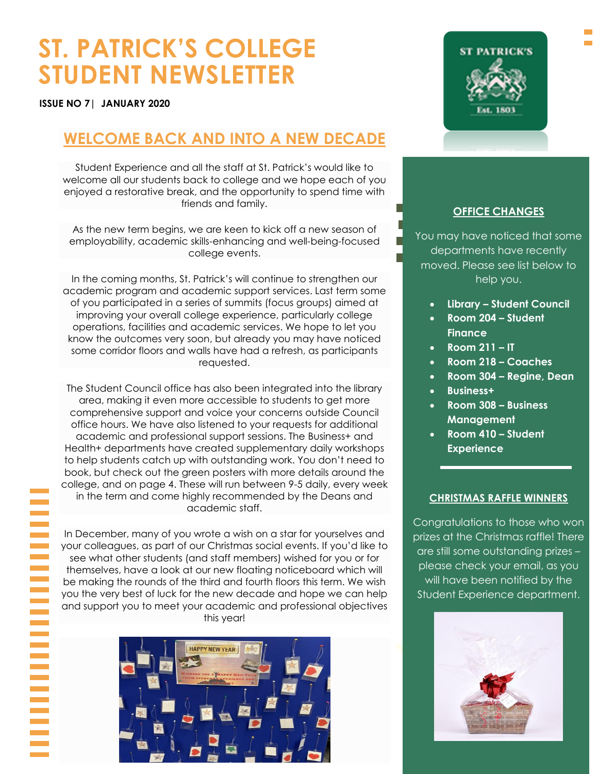# **ST. PATRICK'S COLLEGE STUDENT NEWSLETTER**

**ISSUE NO 7| JANUARY 2020**

# **WELCOME BACK AND INTO A NEW DECADE**

Student Experience and all the staff at St. Patrick's would like to welcome all our students back to college and we hope each of you enjoyed a restorative break, and the opportunity to spend time with friends and family.

 employability, academic skills-enhancing and well-being-focused As the new term begins, we are keen to kick off a new season of college events.

In the coming months, St. Patrick's will continue to strengthen our academic program and academic support services. Last term some of you participated in a series of summits (focus groups) aimed at improving your overall college experience, particularly college operations, facilities and academic services. We hope to let you know the outcomes very soon, but already you may have noticed some corridor floors and walls have had a refresh, as participants requested.

The Student Council office has also been integrated into the library area, making it even more accessible to students to get more comprehensive support and voice your concerns outside Council office hours. We have also listened to your requests for additional academic and professional support sessions. The Business+ and Health+ departments have created supplementary daily workshops to help students catch up with outstanding work. You don't need to book, but check out the green posters with more details around the college, and on page 4. These will run between 9-5 daily, every week in the term and come highly recommended by the Deans and academic staff.

In December, many of you wrote a wish on a star for yourselves and your colleagues, as part of our Christmas social events. If you'd like to see what other students (and staff members) wished for you or for themselves, have a look at our new floating noticeboard which will be making the rounds of the third and fourth floors this term. We wish you the very best of luck for the new decade and hope we can help and support you to meet your academic and professional objectives this year!





### **OFFICE CHANGES**

You may have noticed that some departments have recently moved. Please see list below to help you.

- **Library – Student Council**
- **Room 204 – Student Finance**
- **Room 211 – IT**
- **Room 218 – Coaches**
- **Room 304 – Regine, Dean**
- **Business+**
- **Room 308 – Business Management**
- **Room 410 – Student Experience**

### **CHRISTMAS RAFFLE WINNERS**

Congratulations to those who won prizes at the Christmas raffle! There are still some outstanding prizes – please check your email, as you will have been notified by the Student Experience department.

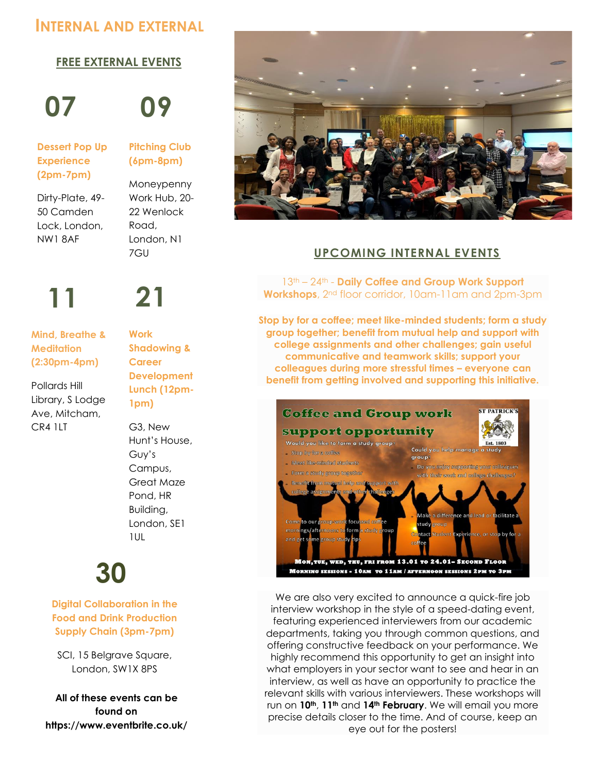# **INTERNAL AND EXTERNAL**

### **EVENTS THIS MONTH FREE EXTERNAL EVENTS**

**07 09**

**Dessert Pop Up Experience (2pm-7pm)**

Dirty-Plate, 49- 50 Camden Lock, London, NW1 8AF

# **Pitching Club (6pm-8pm)**

Moneypenny Work Hub, 20- 22 Wenlock Road, London, N1 7GU

# **11 21**

 **Mind, Breathe & Meditation (2:30pm-4pm)**

Pollards Hill Library, S Lodge Ave, Mitcham, CR4 1LT

**Work Shadowing & Career Development Lunch (12pm-1pm)**

G3, New Hunt's House, Guy's Campus, Great Maze Pond, HR Building, London, SE1 1UL

**30**

 **Digital Collaboration in the Food and Drink Production Supply Chain (3pm-7pm)**

SCI, 15 Belgrave Square, London, SW1X 8PS

**All of these events can be found on https://www.eventbrite.co.uk/**



# **UPCOMING INTERNAL EVENTS**

13th – 24th - **Daily Coffee and Group Work Support Workshops**, 2nd floor corridor, 10am-11am and 2pm-3pm

**Stop by for a coffee; meet like-minded students; form a study group together; benefit from mutual help and support with college assignments and other challenges; gain useful communicative and teamwork skills; support your colleagues during more stressful times – everyone can benefit from getting involved and supporting this initiative.**



We are also very excited to announce a quick-fire job interview workshop in the style of a speed-dating event, featuring experienced interviewers from our academic departments, taking you through common questions, and offering constructive feedback on your performance. We highly recommend this opportunity to get an insight into what employers in your sector want to see and hear in an interview, as well as have an opportunity to practice the relevant skills with various interviewers. These workshops will run on **10th**, **11th** and **14th February**. We will email you more precise details closer to the time. And of course, keep an eye out for the posters!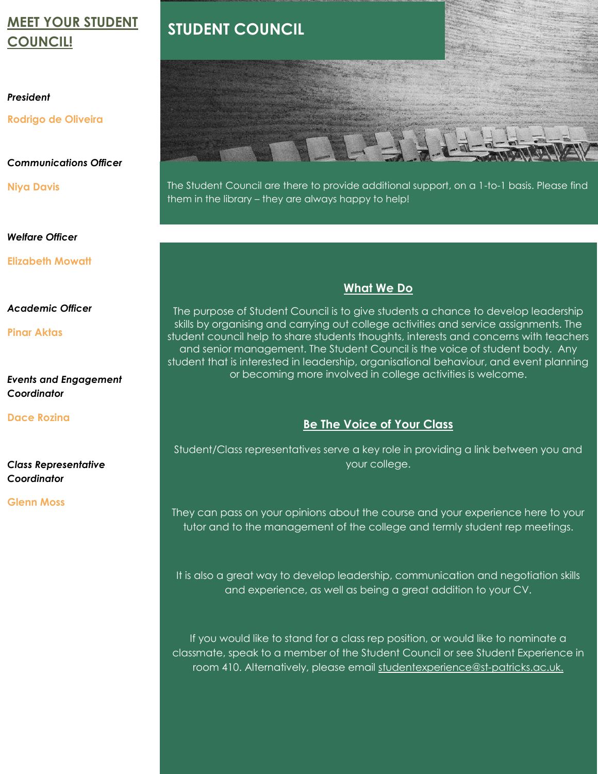# **MEET YOUR STUDENT COUNCIL!**

### *President*

**Rodrigo de Oliveira** 

### *Communications Officer*

**Niya Davis**

*Welfare Officer*

**Elizabeth Mowatt** 

### *Academic Officer*

**Pinar Aktas**

### *Events and Engagement Coordinator*

**Dace Rozina**

*Class Representative Coordinator*

### **Glenn Moss**

# **STUDENT COUNCIL**



The Student Council are there to provide additional support, on a 1-to-1 basis. Please find them in the library – they are always happy to help!

# **What We Do**

**caption describing which is**  skills by organising and carrying out college activities and service assignments. The **which** student council help to share students thoughts, interests and concerns with teachers The purpose of Student Council is to give students a chance to develop leadership and senior management. The Student Council is the voice of student body. Any student that is interested in leadership, organisational behaviour, and event planning or becoming more involved in college activities is welcome.

## **Be The Voice of Your Class**

Student/Class representatives serve a key role in providing a link between you and your college.

They can pass on your opinions about the course and your experience here to your tutor and to the management of the college and termly student rep meetings.

It is also a great way to develop leadership, communication and negotiation skills and experience, as well as being a great addition to your CV.

If you would like to stand for a class rep position, or would like to nominate a classmate, speak to a member of the Student Council or see Student Experience in room 410. Alternatively, please email<studentexperience@st-patricks.ac.uk.>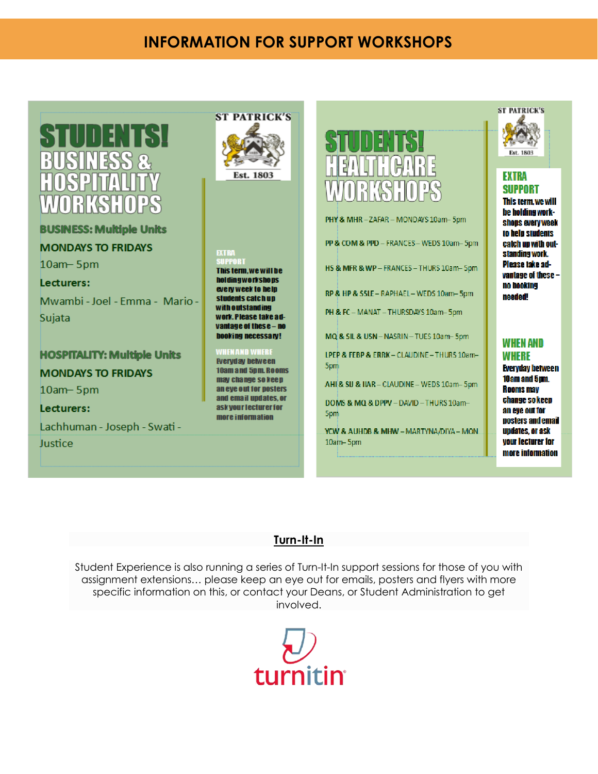# **INFORMATION FOR SUPPORT WORKSHOPS**

# 11 E N

**BUSINESS: Multiple Units** 

**MONDAYS TO FRIDAYS** 10am - 5pm Lecturers:

Mwambi - Joel - Emma - Mario -Sujata

**HOSPITALITY: Multiple Units MONDAYS TO FRIDAYS** 10am - 5pm Lecturers: Lachhuman - Joseph - Swati -

Justice



#### **EXTRA** Ħ

This term, we will be **holdingworkshops** every week to help students catch up with outstanding work. Please take advantage of these - no booking necessary!

### VHENAND WHERI

**Reryday between** 10am and 5pm, Rooms may change so keep an eye out for posters and email undates, or ask your lecturer for more information



PHY & MHR-ZAFAR-MONDAYS 10am-5pm PP & COM & PPD - FRANCES-WEDS 10am-5pm HS & MFR & WP - FRANCES - THURS 10am-5pm RP & HP & SSLE - RAPHAEL - WEDS 10am-5pm PH & FC - MANAT - THURSDAYS 10am-5pm MQ & SIL & USN - NASRIN - TUES 10am-5pm LPEP & FEBP & ERRK - CLAUDINE - THURS 10am-5pm AHI& SU & IIAR - CLAUDINE - WEDS 10am-5pm DOMS & MQ & DPPV - DAVID - THURS 10am-**Spm** YCW & AUHDB & MHW - MARTYNA/DIYA - MON.  $10$ am- $5$ pm



### **EXTRA SUPPORT**

This term, we will be holding workshops every week to help students catch up with outstanding work. Please take advantage of these no booking needed!

# **WHEN AND WHERE**

**Everyday between** 10am and 5pm. **Rooms may** change so keep an eye out for posters and email updates, or ask your lecturer for more information

## **Turn-It-In**

Student Experience is also running a series of Turn-It-In support sessions for those of you with assignment extensions… please keep an eye out for emails, posters and flyers with more specific information on this, or contact your Deans, or Student Administration to get involved.

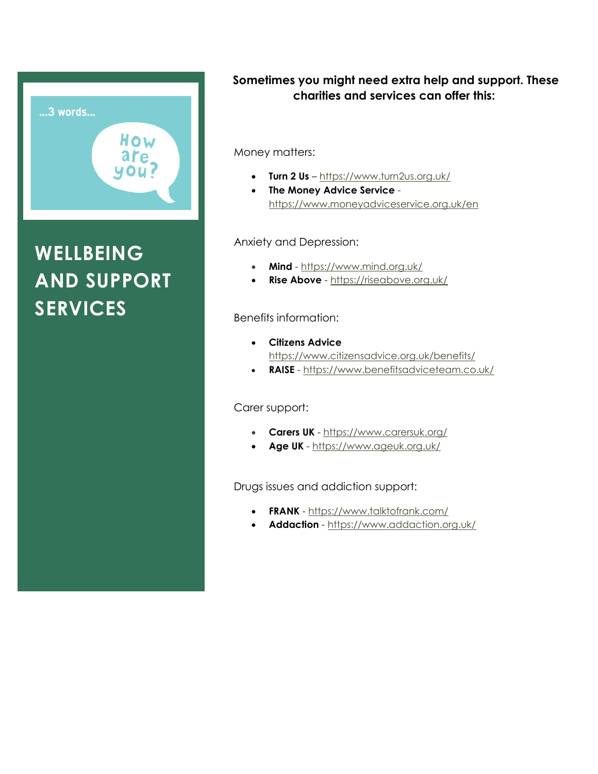

# **WELLBEING AND SUPPORT SERVICES**

# **Sometimes you might need extra help and support. These charities and services can offer this:**

Money matters:

- **Turn 2 Us** <https://www.turn2us.org.uk/>
- **The Money Advice Service** <https://www.moneyadviceservice.org.uk/en>

Anxiety and Depression:

- **Mind** <https://www.mind.org.uk/>
- **Rise Above** <https://riseabove.org.uk/>

### Benefits information:

- **Citizens Advice** <https://www.citizensadvice.org.uk/benefits/>
- **RAISE** <https://www.benefitsadviceteam.co.uk/>

Carer support:

- **Carers UK** <https://www.carersuk.org/>
- **Age UK** <https://www.ageuk.org.uk/>

Drugs issues and addiction support:

- **FRANK** <https://www.talktofrank.com/>
- **Addaction** <https://www.addaction.org.uk/>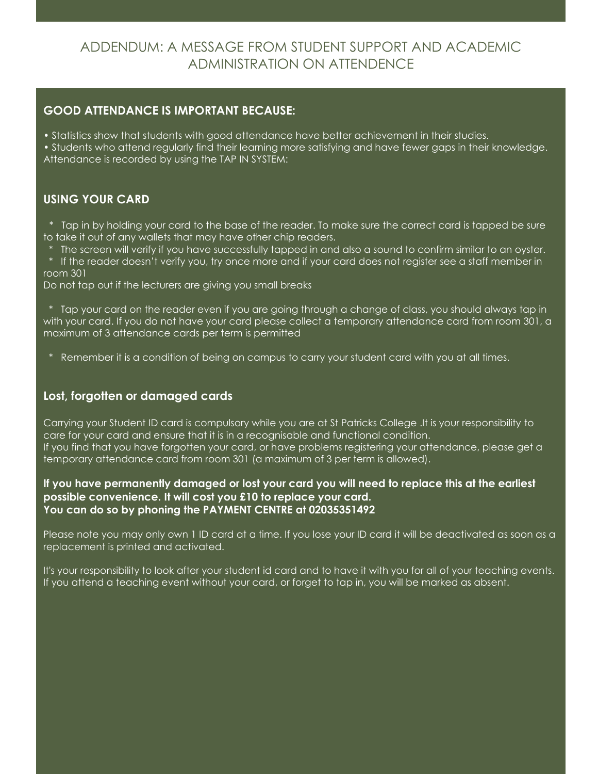# ADDENDUM: A MESSAGE FROM STUDENT SUPPORT AND ACADEMIC ADMINISTRATION ON ATTENDENCE

### **GOOD ATTENDANCE IS IMPORTANT BECAUSE:**

- Statistics show that students with good attendance have better achievement in their studies.
- Students who attend regularly find their learning more satisfying and have fewer gaps in their knowledge. Attendance is recorded by using the TAP IN SYSTEM:

# **USING YOUR CARD**

 \* Tap in by holding your card to the base of the reader. To make sure the correct card is tapped be sure to take it out of any wallets that may have other chip readers.

The screen will verify if you have successfully tapped in and also a sound to confirm similar to an oyster.

 \* If the reader doesn't verify you, try once more and if your card does not register see a staff member in room 301

Do not tap out if the lecturers are giving you small breaks

 \* Tap your card on the reader even if you are going through a change of class, you should always tap in with your card. If you do not have your card please collect a temporary attendance card from room 301, a maximum of 3 attendance cards per term is permitted

\* Remember it is a condition of being on campus to carry your student card with you at all times.

## **Lost, forgotten or damaged cards**

Carrying your Student ID card is compulsory while you are at St Patricks College .It is your responsibility to care for your card and ensure that it is in a recognisable and functional condition. If you find that you have forgotten your card, or have problems registering your attendance, please get a temporary attendance card from room 301 (a maximum of 3 per term is allowed).

### **If you have permanently damaged or lost your card you will need to replace this at the earliest possible convenience. It will cost you £10 to replace your card. You can do so by phoning the PAYMENT CENTRE at 02035351492**

Please note you may only own 1 ID card at a time. If you lose your ID card it will be deactivated as soon as a replacement is printed and activated.

It's your responsibility to look after your student id card and to have it with you for all of your teaching events. If you attend a teaching event without your card, or forget to tap in, you will be marked as absent.